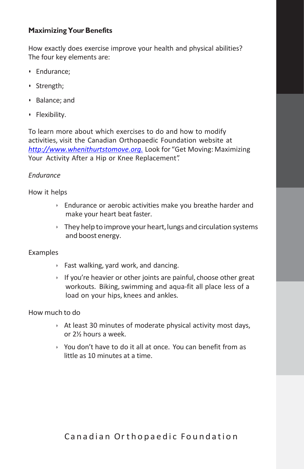## **Maximizing Your Benefits**

How exactly does exercise improve your health and physical abilities? The four key elements are:

- Endurance;
- Strength;
- Balance; and
- Flexibility.

To learn more about which exercises to do and how to modify activities, visit the Canadian Orthopaedic Foundation website at *[http://www.whenithurtstomove.org.](http://www.whenithurtstomove.org./)* Look for "Get Moving: Maximizing Your Activity After a Hip or Knee Replacement".

#### *Endurance*

How it helps

- $\rightarrow$  Endurance or aerobic activities make you breathe harder and make your heart beat faster.
- $\rightarrow$  They help to improve your heart, lungs and circulation systems and boost energy.

#### Examples

- ‣ Fast walking, yard work, and dancing.
- $\rightarrow$  If you're heavier or other joints are painful, choose other great workouts. Biking, swimming and aqua-fit all place less of a load on your hips, knees and ankles.

#### How much to do

- $\rightarrow$  At least 30 minutes of moderate physical activity most days, or 2½ hours a week.
- ‣ You don't have to do it all at once. You can benefit from as little as 10 minutes at a time.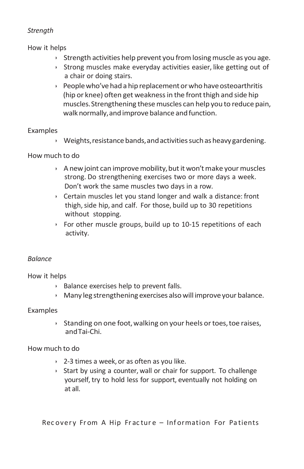## *Strength*

How it helps

- $\rightarrow$  Strength activities help prevent you from losing muscle as you age.
- $\rightarrow$  Strong muscles make everyday activities easier, like getting out of a chair or doing stairs.
- $\rightarrow$  People who've had a hip replacement or who have osteoarthritis (hip or knee) often get weakness in the front thigh and side hip muscles. Strengthening these muscles can help you to reduce pain, walk normally, and improve balance and function.

## Examples

 $\rightarrow$  Weights, resistance bands, and activities such as heavy gardening.

## How much to do

- $\rightarrow$  A new joint can improve mobility, but it won't make your muscles strong. Do strengthening exercises two or more days a week. Don't work the same muscles two days in a row.
- ‣ Certain muscles let you stand longer and walk a distance: front thigh, side hip, and calf. For those, build up to 30 repetitions without stopping.
- ‣ For other muscle groups, build up to 10-15 repetitions of each activity.

## *Balance*

How it helps

- ‣ Balance exercises help to prevent falls.
- $\rightarrow$  Many leg strengthening exercises also will improve your balance.

## Examples

 $\rightarrow$  Standing on one foot, walking on your heels or toes, toe raises, andTai-Chi.

## How much to do

- $\rightarrow$  2-3 times a week, or as often as you like.
- $\rightarrow$  Start by using a counter, wall or chair for support. To challenge yourself, try to hold less for support, eventually not holding on at all.

Rec overy From A Hip Fracture - Information For Patients